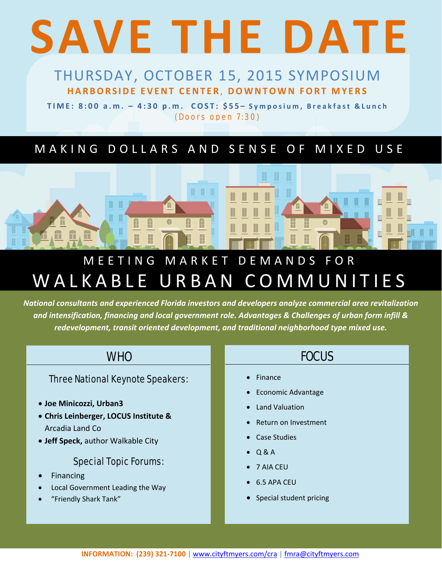# **SAVE THE DATE**

# THURSDAY, OCTOBER 15, 2015 SYMPOSIUM THURSDAY, OCTOBER 15, 2015 SYMPOSIUM **HARBORSIDE EVENT CENTER**, DOWNTOWN FORT MYERS **HARBORSIDE EVENT CENTER**, **DOWNTOWN FORT MYERS**

TIME: 8:00 a.m. – 4:30 p.m. COST: \$55 **TIME: 8:00 a.m. – 4:30 p.m. COST: \$55– Symposium, Breakfast &Lunch** (Doors open 7:30)

## MAKING DOLLARS AND SENSE OF MIXED USE



# MEETING MARKET DEMANDS FOR WALKABLE URBAN COMMUNITIES

.<br>National consultants and experienced Florida investors and developers analyze commercial area revitalization and intensification, financing and local government role. Advantages & Challenges of urban form infill & redevelopment, transit oriented development, and traditional neighborhood type mixed use.

#### **WHO**

#### Three National Keynote Speakers:

- **Joe Minicozzi, Urban3**
- **Chris Leinberger, LOCUS Institute &** Arcadia Land Co
- **Jeff Speck,** author Walkable City

#### Special Topic Forums:

- Financing
- Local Government Leading the Way
- "Friendly Shark Tank"

### **FOCUS**

- Finance
- Economic Advantage
- Land Valuation
- Return on Investment
- Case Studies
- Q & A
- 7 AIA CEU
- 6.5 APA CEU
- Special student pricing